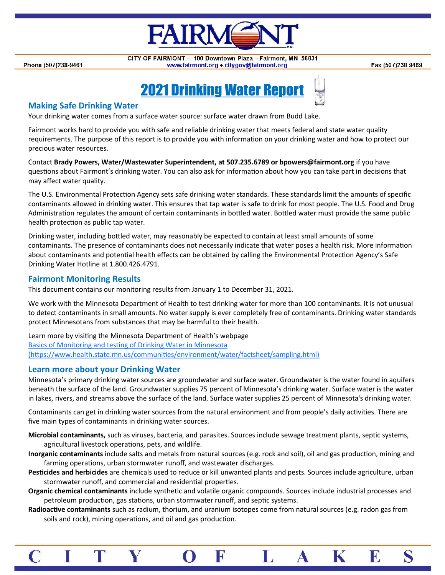

Phone (507)238-9461

CITY OF FAIRMONT - 100 Downtown Plaza - Fairmont, MN 56031 www.fairmont.org ◆ citygov@fairmont.org

Fax (507)238 9469

# **2021 Drinking Water Report**

### **Making Safe Drinking Water**

Your drinking water comes from a surface water source: surface water drawn from Budd Lake.

Fairmont works hard to provide you with safe and reliable drinking water that meets federal and state water quality requirements. The purpose of this report is to provide you with information on your drinking water and how to protect our precious water resources.

Contact **Brady Powers, Water/Wastewater Superintendent, at 507.235.6789 or bpowers@fairmont.org** if you have questions about Fairmont's drinking water. You can also ask for information about how you can take part in decisions that may affect water quality.

The U.S. Environmental Protection Agency sets safe drinking water standards. These standards limit the amounts of specific contaminants allowed in drinking water. This ensures that tap water is safe to drink for most people. The U.S. Food and Drug Administration regulates the amount of certain contaminants in bottled water. Bottled water must provide the same public health protection as public tap water.

Drinking water, including bottled water, may reasonably be expected to contain at least small amounts of some contaminants. The presence of contaminants does not necessarily indicate that water poses a health risk. More information about contaminants and potential health effects can be obtained by calling the Environmental Protection Agency's Safe Drinking Water Hotline at 1.800.426.4791.

#### **Fairmont Monitoring Results**

This document contains our monitoring results from January 1 to December 31, 2021.

We work with the Minnesota Department of Health to test drinking water for more than 100 contaminants. It is not unusual to detect contaminants in small amounts. No water supply is ever completely free of contaminants. Drinking water standards protect Minnesotans from substances that may be harmful to their health.

Learn more by visiting the Minnesota Department of Health's webpage [Basics of Monitoring and testing of Drinking Water in Minnesota](https://www.health.state.mn.us/communities/environment/water/factsheet/sampling.html)  [\(https://www.health.state.mn.us/communities/environment/water/factsheet/sampling.html\)](https://www.health.state.mn.us/communities/environment/water/factsheet/sampling.html)

#### **Learn more about your Drinking Water**

Minnesota's primary drinking water sources are groundwater and surface water. Groundwater is the water found in aquifers beneath the surface of the land. Groundwater supplies 75 percent of Minnesota's drinking water. Surface water is the water in lakes, rivers, and streams above the surface of the land. Surface water supplies 25 percent of Minnesota's drinking water.

Contaminants can get in drinking water sources from the natural environment and from people's daily activities. There are five main types of contaminants in drinking water sources.

**Microbial contaminants,** such as viruses, bacteria, and parasites. Sources include sewage treatment plants, septic systems, agricultural livestock operations, pets, and wildlife.

- **Inorganic contaminants** include salts and metals from natural sources (e.g. rock and soil), oil and gas production, mining and farming operations, urban stormwater runoff, and wastewater discharges.
- **Pesticides and herbicides** are chemicals used to reduce or kill unwanted plants and pests. Sources include agriculture, urban stormwater runoff, and commercial and residential properties.
- **Organic chemical contaminants** include synthetic and volatile organic compounds. Sources include industrial processes and petroleum production, gas stations, urban stormwater runoff, and septic systems.
- **Radioactive contaminants** such as radium, thorium, and uranium isotopes come from natural sources (e.g. radon gas from soils and rock), mining operations, and oil and gas production.

 $|\mathbf{R}|$ 

K

 ${\bf A}$ 

E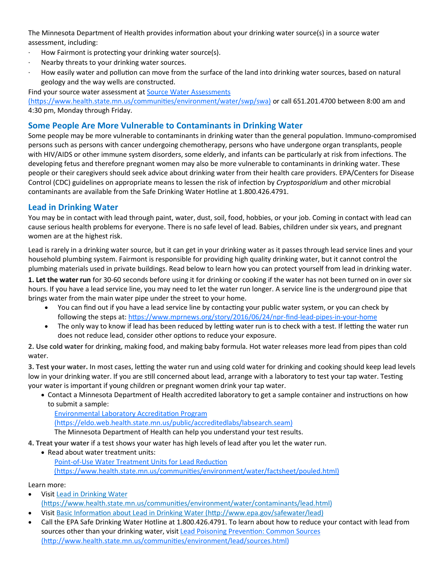The Minnesota Department of Health provides information about your drinking water source(s) in a source water assessment, including:

- ∙ How Fairmont is protecting your drinking water source(s).
- ∙ Nearby threats to your drinking water sources.
- ∙ How easily water and pollution can move from the surface of the land into drinking water sources, based on natural geology and the way wells are constructed.

Find your source water assessment at Source Water Assessments

[\(https://www.health.state.mn.us/communities/environment/water/swp/swa\)](https://www.health.state.mn.us/communities/environment/water/swp/swa) or call 651.201.4700 between 8:00 am and 4:30 pm, Monday through Friday.

### **Some People Are More Vulnerable to Contaminants in Drinking Water**

Some people may be more vulnerable to contaminants in drinking water than the general population. Immuno-compromised persons such as persons with cancer undergoing chemotherapy, persons who have undergone organ transplants, people with HIV/AIDS or other immune system disorders, some elderly, and infants can be particularly at risk from infections. The developing fetus and therefore pregnant women may also be more vulnerable to contaminants in drinking water. These people or their caregivers should seek advice about drinking water from their health care providers. EPA/Centers for Disease Control (CDC) guidelines on appropriate means to lessen the risk of infection by *Cryptosporidium* and other microbial contaminants are available from the Safe Drinking Water Hotline at 1.800.426.4791.

#### **Lead in Drinking Water**

You may be in contact with lead through paint, water, dust, soil, food, hobbies, or your job. Coming in contact with lead can cause serious health problems for everyone. There is no safe level of lead. Babies, children under six years, and pregnant women are at the highest risk.

Lead is rarely in a drinking water source, but it can get in your drinking water as it passes through lead service lines and your household plumbing system. Fairmont is responsible for providing high quality drinking water, but it cannot control the plumbing materials used in private buildings. Read below to learn how you can protect yourself from lead in drinking water.

**1. Let the water run** for 30-60 seconds before using it for drinking or cooking if the water has not been turned on in over six hours. If you have a lead service line, you may need to let the water run longer. A service line is the underground pipe that brings water from the main water pipe under the street to your home.

- You can find out if you have a lead service line by contacting your public water system, or you can check by following the steps at: [https://www.mprnews.org/story/2016/06/24/npr](https://www.mprnews.org/story/2016/06/24/npr-find-lead-pipes-in-your-home)-find-lead-pipes-in-your-home
- The only way to know if lead has been reduced by letting water run is to check with a test. If letting the water run does not reduce lead, consider other options to reduce your exposure.

**2. Use cold water** for drinking, making food, and making baby formula. Hot water releases more lead from pipes than cold water.

**3. Test your water.** In most cases, letting the water run and using cold water for drinking and cooking should keep lead levels low in your drinking water. If you are still concerned about lead, arrange with a laboratory to test your tap water. Testing your water is important if young children or pregnant women drink your tap water.

• Contact a Minnesota Department of Health accredited laboratory to get a sample container and instructions on how to submit a sample:

[Environmental Laboratory Accreditation Program](https://eldo.web.health.state.mn.us/public/accreditedlabs/labsearch.seam)  [\(https://eldo.web.health.state.mn.us/public/accreditedlabs/labsearch.seam\)](https://eldo.web.health.state.mn.us/public/accreditedlabs/labsearch.seam) The Minnesota Department of Health can help you understand your test results.

**4. Treat your water** if a test shows your water has high levels of lead after you let the water run.

• Read about water treatment units:

Point-of-[Use Water Treatment Units for Lead Reduction](http://www.health.state.mn.us/divs/eh/water/factsheet/com/poulead.html)  [\(https://www.health.state.mn.us/communities/environment/water/factsheet/pouled.html\)](http://www.health.state.mn.us/divs/eh/water/factsheet/com/poulead.html)

Learn more:

- Visit [Lead in Drinking Water](http://www.health.state.mn.us/divs/eh/water/contaminants/lead.html#Protect)  [\(https://www.health.state.mn.us/communities/environment/water/contaminants/lead.html\)](http://www.health.state.mn.us/divs/eh/water/contaminants/lead.html#Protect)
- Visit [Basic Information about Lead in Drinking Water \(http://www.epa.gov/safewater/lead\)](http://www.epa.gov/safewater/lead)
- Call the EPA Safe Drinking Water Hotline at 1.800.426.4791. To learn about how to reduce your contact with lead from sources other than your drinking water, visit Lead Poisoning Prevention: Common Sources (http://www.health.state.mn.us/communities/environment/lead/sources.html)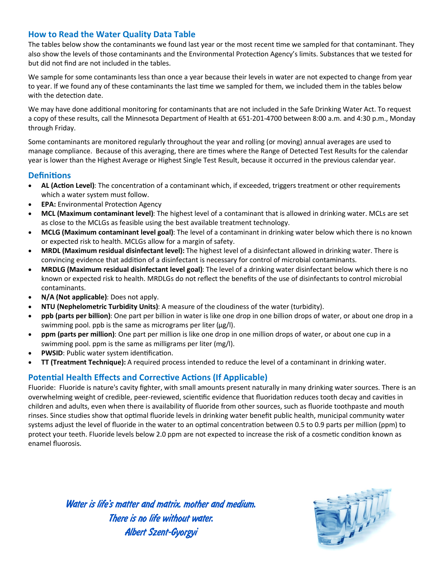# **How to Read the Water Quality Data Table**

The tables below show the contaminants we found last year or the most recent time we sampled for that contaminant. They also show the levels of those contaminants and the Environmental Protection Agency's limits. Substances that we tested for but did not find are not included in the tables.

We sample for some contaminants less than once a year because their levels in water are not expected to change from year to year. If we found any of these contaminants the last time we sampled for them, we included them in the tables below with the detection date.

We may have done additional monitoring for contaminants that are not included in the Safe Drinking Water Act. To request a copy of these results, call the Minnesota Department of Health at 651-201-4700 between 8:00 a.m. and 4:30 p.m., Monday through Friday.

Some contaminants are monitored regularly throughout the year and rolling (or moving) annual averages are used to manage compliance. Because of this averaging, there are times where the Range of Detected Test Results for the calendar year is lower than the Highest Average or Highest Single Test Result, because it occurred in the previous calendar year.

#### **Definitions**

- **AL (Action Level)**: The concentration of a contaminant which, if exceeded, triggers treatment or other requirements which a water system must follow.
- **EPA:** Environmental Protection Agency
- **MCL (Maximum contaminant level)**: The highest level of a contaminant that is allowed in drinking water. MCLs are set as close to the MCLGs as feasible using the best available treatment technology.
- **MCLG (Maximum contaminant level goal)**: The level of a contaminant in drinking water below which there is no known or expected risk to health. MCLGs allow for a margin of safety.
- **MRDL (Maximum residual disinfectant level):** The highest level of a disinfectant allowed in drinking water. There is convincing evidence that addition of a disinfectant is necessary for control of microbial contaminants.
- **MRDLG (Maximum residual disinfectant level goal)**: The level of a drinking water disinfectant below which there is no known or expected risk to health. MRDLGs do not reflect the benefits of the use of disinfectants to control microbial contaminants.
- **N/A (Not applicable)**: Does not apply.
- **NTU (Nephelometric Turbidity Units)**: A measure of the cloudiness of the water (turbidity).
- **ppb (parts per billion)**: One part per billion in water is like one drop in one billion drops of water, or about one drop in a swimming pool. ppb is the same as micrograms per liter (μg/l).
- **ppm (parts per million)**: One part per million is like one drop in one million drops of water, or about one cup in a swimming pool. ppm is the same as milligrams per liter (mg/l).
- **PWSID**: Public water system identification.
- **TT (Treatment Technique):** A required process intended to reduce the level of a contaminant in drinking water.

# **Potential Health Effects and Corrective Actions (If Applicable)**

Fluoride: Fluoride is nature's cavity fighter, with small amounts present naturally in many drinking water sources. There is an overwhelming weight of credible, peer-reviewed, scientific evidence that fluoridation reduces tooth decay and cavities in children and adults, even when there is availability of fluoride from other sources, such as fluoride toothpaste and mouth rinses. Since studies show that optimal fluoride levels in drinking water benefit public health, municipal community water systems adjust the level of fluoride in the water to an optimal concentration between 0.5 to 0.9 parts per million (ppm) to protect your teeth. Fluoride levels below 2.0 ppm are not expected to increase the risk of a cosmetic condition known as enamel fluorosis.

Water is life's matter and matrix, mother and medium. There is no life without water. Albert Szent-Gyorgyi

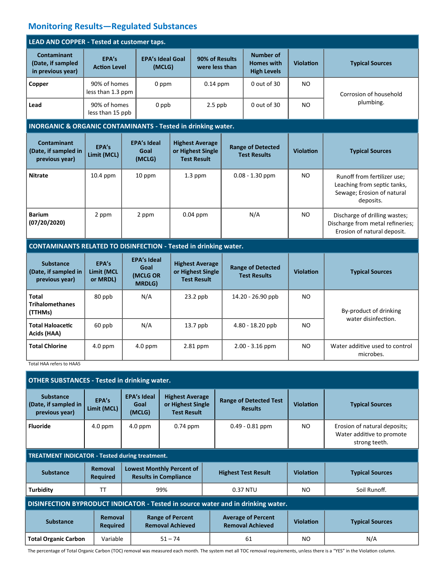# **Monitoring Results—Regulated Substances**

| LEAD AND COPPER - Tested at customer taps.                       |                                   |                                                         |                                   |                                                                   |                                  |                                                      |                  |                                                                                                       |  |  |  |  |
|------------------------------------------------------------------|-----------------------------------|---------------------------------------------------------|-----------------------------------|-------------------------------------------------------------------|----------------------------------|------------------------------------------------------|------------------|-------------------------------------------------------------------------------------------------------|--|--|--|--|
| <b>Contaminant</b><br>(Date, if sampled<br>in previous year)     | EPA's<br><b>Action Level</b>      |                                                         | <b>EPA's Ideal Goal</b><br>(MCLG) |                                                                   | 90% of Results<br>were less than | Number of<br><b>Homes with</b><br><b>High Levels</b> | <b>Violation</b> | <b>Typical Sources</b>                                                                                |  |  |  |  |
| Copper                                                           | 90% of homes<br>less than 1.3 ppm |                                                         | 0 ppm                             |                                                                   | $0.14$ ppm                       | 0 out of 30                                          | NO               | Corrosion of household<br>plumbing.                                                                   |  |  |  |  |
| Lead                                                             | 90% of homes<br>less than 15 ppb  |                                                         | 0 ppb                             |                                                                   | $2.5$ ppb                        | $0$ out of 30                                        | N <sub>O</sub>   |                                                                                                       |  |  |  |  |
| INORGANIC & ORGANIC CONTAMINANTS - Tested in drinking water.     |                                   |                                                         |                                   |                                                                   |                                  |                                                      |                  |                                                                                                       |  |  |  |  |
| <b>Contaminant</b><br>(Date, if sampled in<br>previous year)     | EPA's<br>Limit (MCL)              | <b>EPA's Ideal</b><br>Goal<br>(MCLG)                    |                                   | <b>Highest Average</b><br>or Highest Single<br><b>Test Result</b> |                                  | <b>Range of Detected</b><br><b>Test Results</b>      | <b>Violation</b> | <b>Typical Sources</b>                                                                                |  |  |  |  |
| <b>Nitrate</b>                                                   | 10.4 ppm                          | 10 ppm                                                  | $1.3$ ppm                         |                                                                   | $0.08 - 1.30$ ppm                |                                                      | NO.              | Runoff from fertilizer use:<br>Leaching from septic tanks,<br>Sewage; Erosion of natural<br>deposits. |  |  |  |  |
| <b>Barium</b><br>(07/20/2020)                                    | 2 ppm                             | 2 ppm                                                   |                                   | $0.04$ ppm                                                        |                                  | N/A                                                  | <b>NO</b>        | Discharge of drilling wastes;<br>Discharge from metal refineries;<br>Erosion of natural deposit.      |  |  |  |  |
| CONTAMINANTS RELATED TO DISINFECTION - Tested in drinking water. |                                   |                                                         |                                   |                                                                   |                                  |                                                      |                  |                                                                                                       |  |  |  |  |
| <b>Substance</b><br>(Date, if sampled in<br>previous year)       | EPA's<br>Limit (MCL<br>or MRDL)   | <b>EPA's Ideal</b><br>Goal<br>(MCLG OR<br><b>MRDLG)</b> |                                   | <b>Highest Average</b><br>or Highest Single<br><b>Test Result</b> |                                  | <b>Range of Detected</b><br><b>Test Results</b>      | <b>Violation</b> | <b>Typical Sources</b>                                                                                |  |  |  |  |
| <b>Total</b><br><b>Trihalomethanes</b><br>(TTHMs)                | 80 ppb                            | N/A                                                     |                                   | $23.2$ ppb                                                        |                                  | 14.20 - 26.90 ppb                                    | N <sub>O</sub>   | By-product of drinking<br>water disinfection.                                                         |  |  |  |  |
| <b>Total Haloacetic</b><br>Acids (HAA)                           | 60 ppb                            | N/A                                                     |                                   | 13.7 ppb                                                          |                                  | 4.80 - 18.20 ppb                                     | N <sub>O</sub>   |                                                                                                       |  |  |  |  |
| <b>Total Chlorine</b>                                            | 4.0 ppm                           | $4.0$ ppm                                               |                                   | 2.81 ppm                                                          |                                  | $2.00 - 3.16$ ppm                                    | N <sub>O</sub>   | Water additive used to control<br>microbes.                                                           |  |  |  |  |

Total HAA refers to HAA5

| <b>OTHER SUBSTANCES - Tested in drinking water.</b>                              |                            |                                                                  |                                                                   |                                                      |                  |                                                                            |  |  |  |  |  |
|----------------------------------------------------------------------------------|----------------------------|------------------------------------------------------------------|-------------------------------------------------------------------|------------------------------------------------------|------------------|----------------------------------------------------------------------------|--|--|--|--|--|
| <b>Substance</b><br>(Date, if sampled in<br>previous year)                       | EPA's<br>Limit (MCL)       | <b>EPA's Ideal</b><br>Goal<br>(MCLG)                             | <b>Highest Average</b><br>or Highest Single<br><b>Test Result</b> | <b>Range of Detected Test</b><br><b>Results</b>      | <b>Violation</b> | <b>Typical Sources</b>                                                     |  |  |  |  |  |
| <b>Fluoride</b>                                                                  | $4.0$ ppm                  | $4.0$ ppm                                                        | $0.74$ ppm                                                        | $0.49 - 0.81$ ppm                                    | N <sub>O</sub>   | Erosion of natural deposits;<br>Water additive to promote<br>strong teeth. |  |  |  |  |  |
| <b>TREATMENT INDICATOR - Tested during treatment.</b>                            |                            |                                                                  |                                                                   |                                                      |                  |                                                                            |  |  |  |  |  |
| <b>Substance</b>                                                                 | Removal<br><b>Required</b> | <b>Lowest Monthly Percent of</b><br><b>Results in Compliance</b> |                                                                   | <b>Highest Test Result</b>                           | Violation        | <b>Typical Sources</b>                                                     |  |  |  |  |  |
| <b>Turbidity</b>                                                                 | TТ                         |                                                                  | 99%                                                               | 0.37 NTU                                             | NO.              | Soil Runoff.                                                               |  |  |  |  |  |
| DISINFECTION BYPRODUCT INDICATOR - Tested in source water and in drinking water. |                            |                                                                  |                                                                   |                                                      |                  |                                                                            |  |  |  |  |  |
| <b>Substance</b>                                                                 | Removal<br><b>Required</b> |                                                                  | <b>Range of Percent</b><br><b>Removal Achieved</b>                | <b>Average of Percent</b><br><b>Removal Achieved</b> | <b>Violation</b> | <b>Typical Sources</b>                                                     |  |  |  |  |  |
| <b>Total Organic Carbon</b>                                                      | Variable                   |                                                                  | $51 - 74$                                                         | 61                                                   | NO.              | N/A                                                                        |  |  |  |  |  |

The percentage of Total Organic Carbon (TOC) removal was measured each month. The system met all TOC removal requirements, unless there is a "YES" in the Violation column.